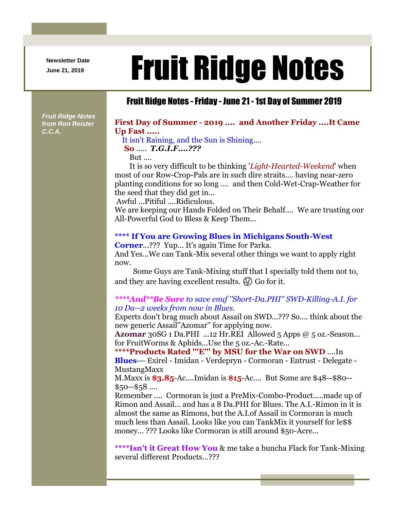**Newsletter Date**

# Newsletter Date **Fruit Ridge Notes**

### Fruit Ridge Notes -Friday - June 21 -1st Day of Summer 2019

*Fruit Ridge Notes from Ron Reister C.C.A.*

#### **First Day of Summer - 2019 .... and Another Friday ....It Came Up Fast .....**

It isn't Raining, and the Sun is Shining....

**So** ..... *T.G.I.F....???*

But ....

It is so very difficult to be thinking '*Light-Hearted-Weekend*' when most of our Row-Crop-Pals are in such dire straits.... having near-zero planting conditions for so long .... and then Cold-Wet-Crap-Weather for the seed that they did get in...

Awful ...Pitiful ....Ridiculous.

We are keeping our Hands Folded on Their Behalf.... We are trusting our All-Powerful God to Bless & Keep Them...

#### **\*\*\*\* If You are Growing Blues in Michigans South-West**

**Corner**...??? Yup... It's again Time for Parka. And Yes...We can Tank-Mix several other things we want to apply right now.

Some Guys are Tank-Mixing stuff that I specially told them not to, and they are having excellent results.  $\mathcal{G}$  Go for it.

#### *\*\*\*\*And\*\*Be Sure to save enuf ''Short-Da.PHI'' SWD-Killing-A.I. for 10 Da--2 weeks from now in Blues.*

Experts don't brag much about Assail on SWD...??? So.... think about the new generic Assail''Azomar'' for applying now.

**Azomar** 30SG 1 Da.PHI ...12 Hr.REI Allowed 5 Apps @ 5 oz.-Season... for FruitWorms & Aphids...Use the 5 oz.-Ac.-Rate...

**\*\*\*\*Products Rated '''E''' by MSU for the War on SWD** ....In

**Blues**--- Exirel - Imidan - Verdepryn - Cormoran - Entrust - Delegate - MustangMaxx

M.Maxx is **\$3.85**-Ac....Imidan is **\$15**-Ac.... But Some are \$48--\$80--  $$50 - $58$  ....

Remember .... Cormoran is just a PreMix-Combo-Product.....made up of Rimon and Assail... and has a 8 Da.PHI for Blues. The A.I.-Rimon in it is almost the same as Rimons, but the A.I.of Assail in Cormoran is much much less than Assail. Looks like you can TankMix it yourself for le\$\$ money... ??? Looks like Cormoran is still around \$50-Acre...

**\*\*\*\*Isn't it Great How You** & me take a buncha Flack for Tank-Mixing several different Products...???